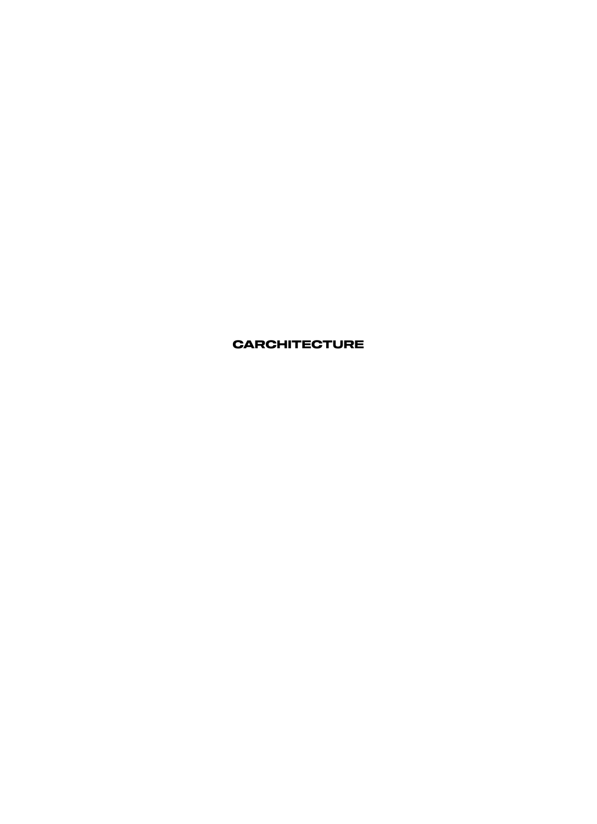#### **CARCHITECTURE**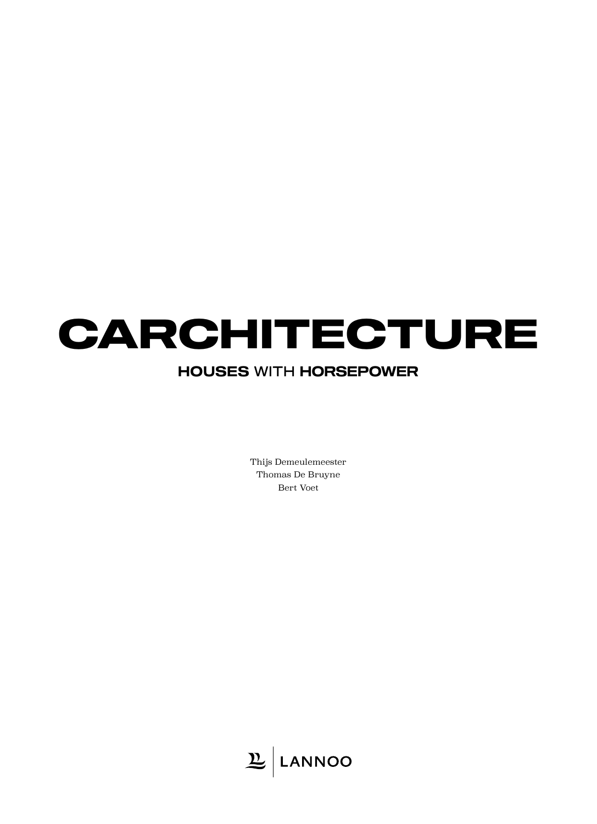# **CARCHITECTURE**

#### HOUSES WITH HORSEPOWER

Thijs Demeulemeester Thomas De Bruyne Bert Voet

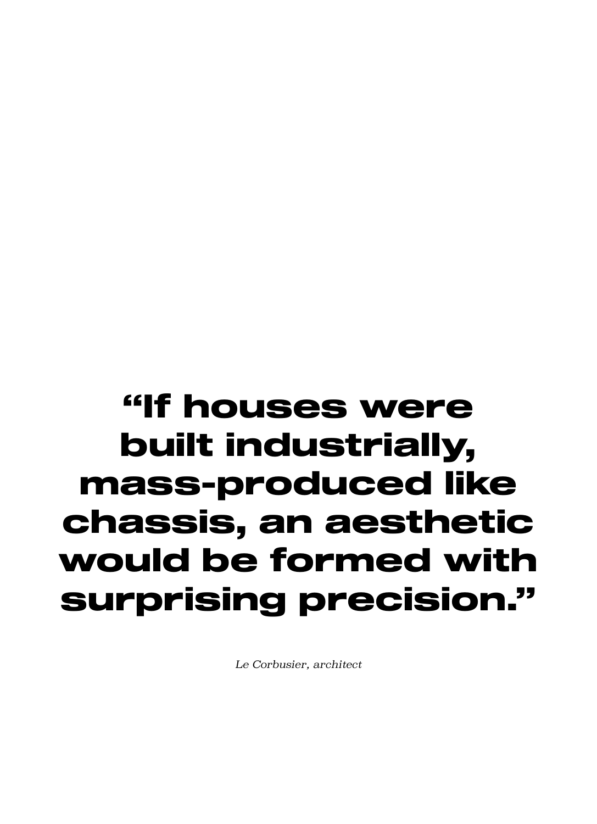## "If houses were built industrially, mass-produced like chassis, an aesthetic would be formed with surprising precision."

*Le Corbusier, architect*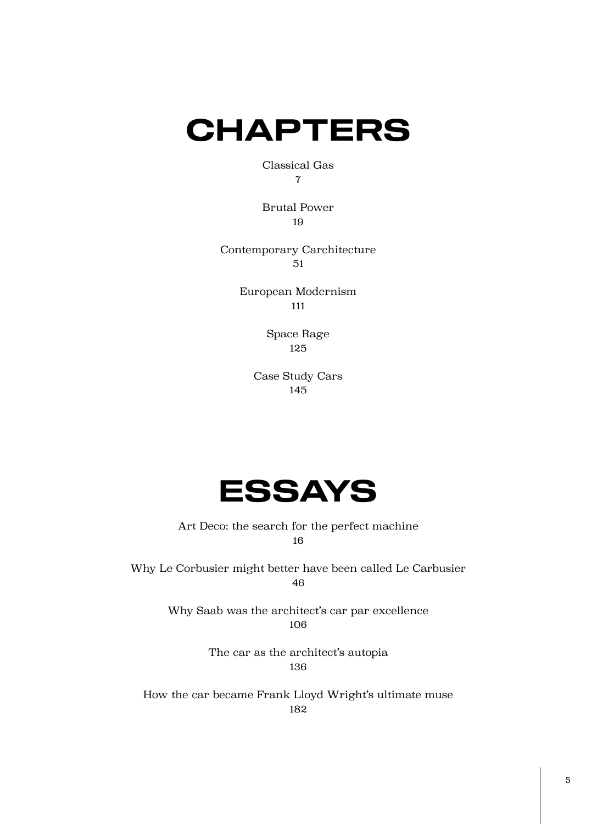### CHAPTERS

Classical Gas 7

Brutal Power 19

Contemporary Carchitecture 51

> European Modernism 111

> > Space Rage 125

Case Study Cars 145



Art Deco: the search for the perfect machine 16

Why Le Corbusier might better have been called Le Carbusier 46

> Why Saab was the architect's car par excellence 106

> > The car as the architect's autopia 136

How the car became Frank Lloyd Wright's ultimate muse 182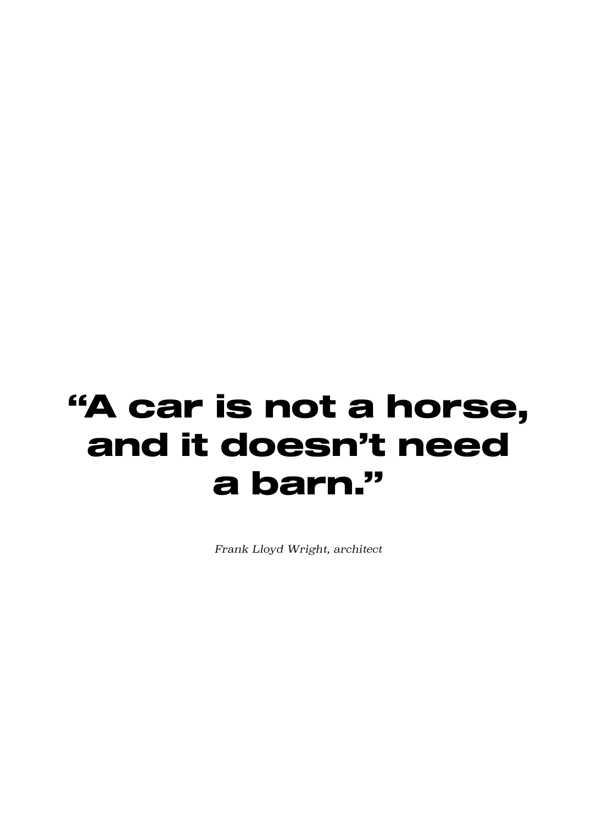### "A car is not a horse, and it doesn't need a barn."

*Frank Lloyd Wright, architect*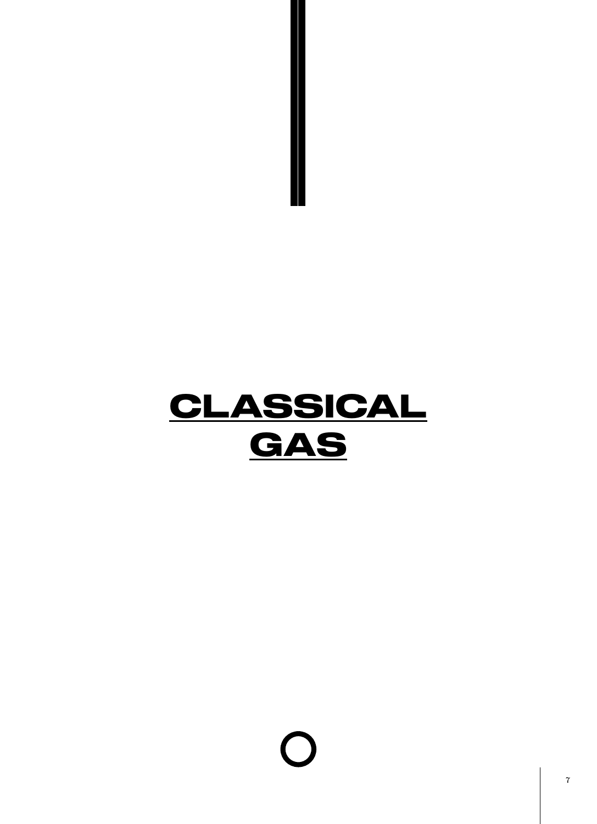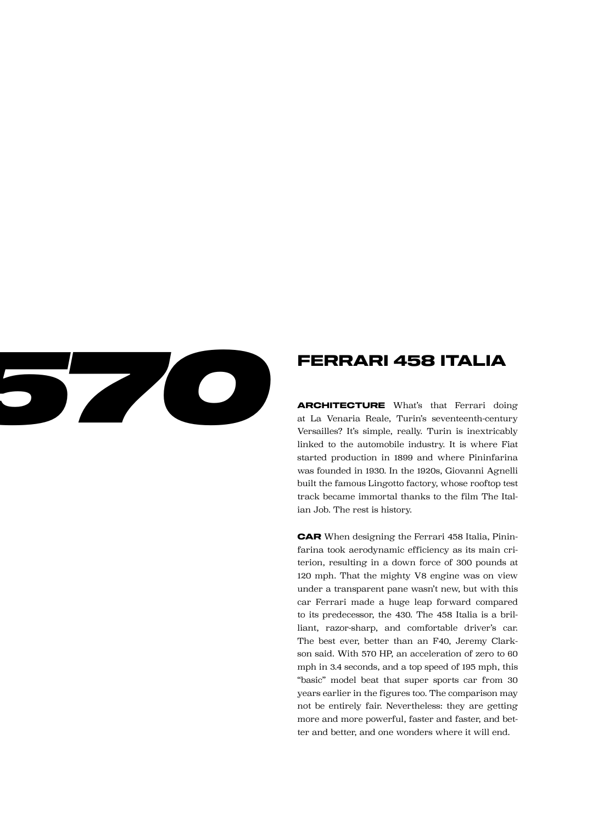

#### FERRARI 458 ITALIA

ARCHITECTURE What's that Ferrari doing at La Venaria Reale, Turin's seventeenth-century Versailles? It's simple, really. Turin is inextricably linked to the automobile industry. It is where Fiat started production in 1899 and where Pininfarina was founded in 1930. In the 1920s, Giovanni Agnelli built the famous Lingotto factory, whose rooftop test track became immortal thanks to the film The Italian Job. The rest is history.

CAR When designing the Ferrari 458 Italia, Pininfarina took aerodynamic efficiency as its main criterion, resulting in a down force of 300 pounds at 120 mph. That the mighty V8 engine was on view under a transparent pane wasn't new, but with this car Ferrari made a huge leap forward compared to its predecessor, the 430. The 458 Italia is a brilliant, razor-sharp, and comfortable driver's car. The best ever, better than an F40, Jeremy Clarkson said. With 570 HP, an acceleration of zero to 60 mph in 3.4 seconds, and a top speed of 195 mph, this "basic" model beat that super sports car from 30 years earlier in the figures too. The comparison may not be entirely fair. Nevertheless: they are getting more and more powerful, faster and faster, and better and better, and one wonders where it will end.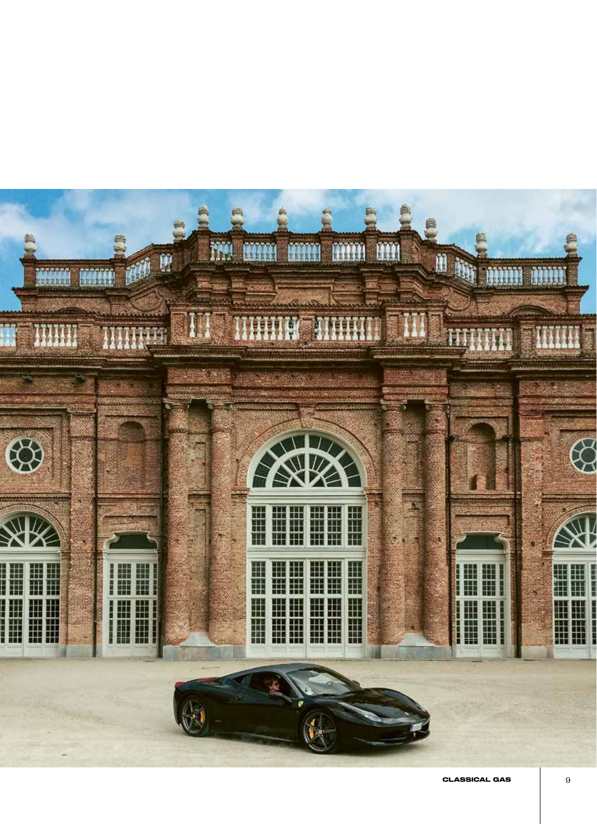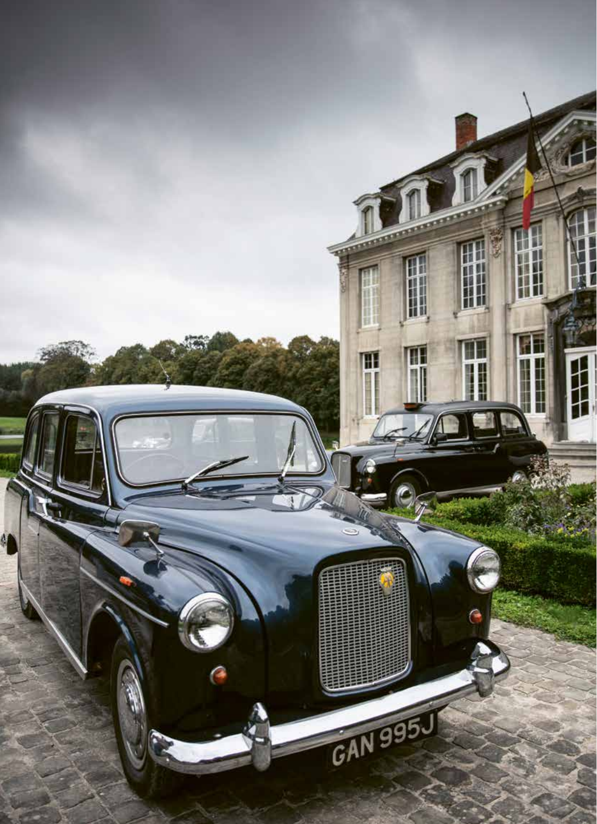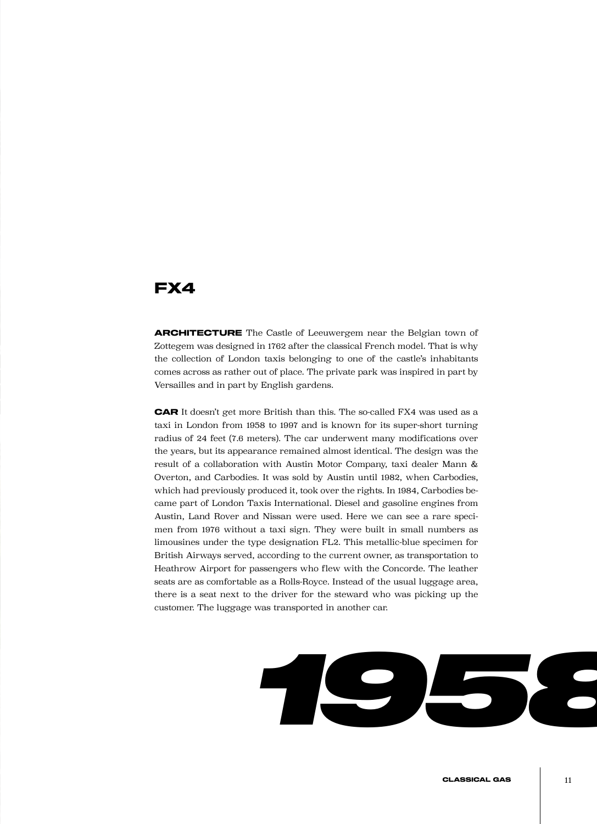#### FX4

ARCHITECTURE The Castle of Leeuwergem near the Belgian town of Zottegem was designed in 1762 after the classical French model. That is why the collection of London taxis belonging to one of the castle's inhabitants comes across as rather out of place. The private park was inspired in part by Versailles and in part by English gardens.

CAR It doesn't get more British than this. The so-called FX4 was used as a taxi in London from 1958 to 1997 and is known for its super-short turning radius of 24 feet (7.6 meters). The car underwent many modifications over the years, but its appearance remained almost identical. The design was the result of a collaboration with Austin Motor Company, taxi dealer Mann & Overton, and Carbodies. It was sold by Austin until 1982, when Carbodies, which had previously produced it, took over the rights. In 1984, Carbodies became part of London Taxis International. Diesel and gasoline engines from Austin, Land Rover and Nissan were used. Here we can see a rare specimen from 1976 without a taxi sign. They were built in small numbers as limousines under the type designation FL2. This metallic-blue specimen for British Airways served, according to the current owner, as transportation to Heathrow Airport for passengers who flew with the Concorde. The leather seats are as comfortable as a Rolls-Royce. Instead of the usual luggage area, there is a seat next to the driver for the steward who was picking up the customer. The luggage was transported in another car.

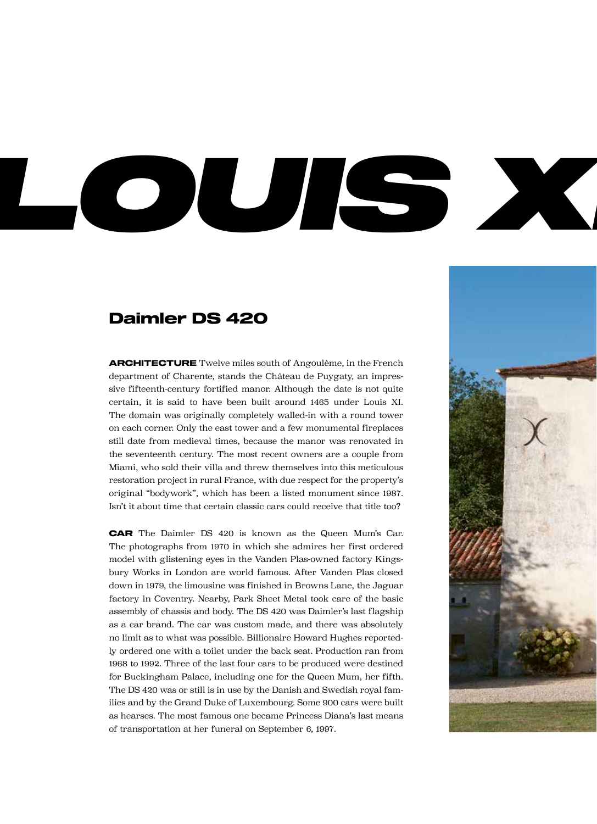*LOUIS XI*

#### Daimler DS 420

ARCHITECTURE Twelve miles south of Angoulême, in the French department of Charente, stands the Château de Puygaty, an impressive fifteenth-century fortified manor. Although the date is not quite certain, it is said to have been built around 1465 under Louis XI. The domain was originally completely walled-in with a round tower on each corner. Only the east tower and a few monumental fireplaces still date from medieval times, because the manor was renovated in the seventeenth century. The most recent owners are a couple from Miami, who sold their villa and threw themselves into this meticulous restoration project in rural France, with due respect for the property's original "bodywork", which has been a listed monument since 1987. Isn't it about time that certain classic cars could receive that title too?

CAR The Daimler DS 420 is known as the Queen Mum's Car. The photographs from 1970 in which she admires her first ordered model with glistening eyes in the Vanden Plas-owned factory Kingsbury Works in London are world famous. After Vanden Plas closed down in 1979, the limousine was finished in Browns Lane, the Jaguar factory in Coventry. Nearby, Park Sheet Metal took care of the basic assembly of chassis and body. The DS 420 was Daimler's last flagship as a car brand. The car was custom made, and there was absolutely no limit as to what was possible. Billionaire Howard Hughes reportedly ordered one with a toilet under the back seat. Production ran from 1968 to 1992. Three of the last four cars to be produced were destined for Buckingham Palace, including one for the Queen Mum, her fifth. The DS 420 was or still is in use by the Danish and Swedish royal families and by the Grand Duke of Luxembourg. Some 900 cars were built as hearses. The most famous one became Princess Diana's last means of transportation at her funeral on September 6, 1997.

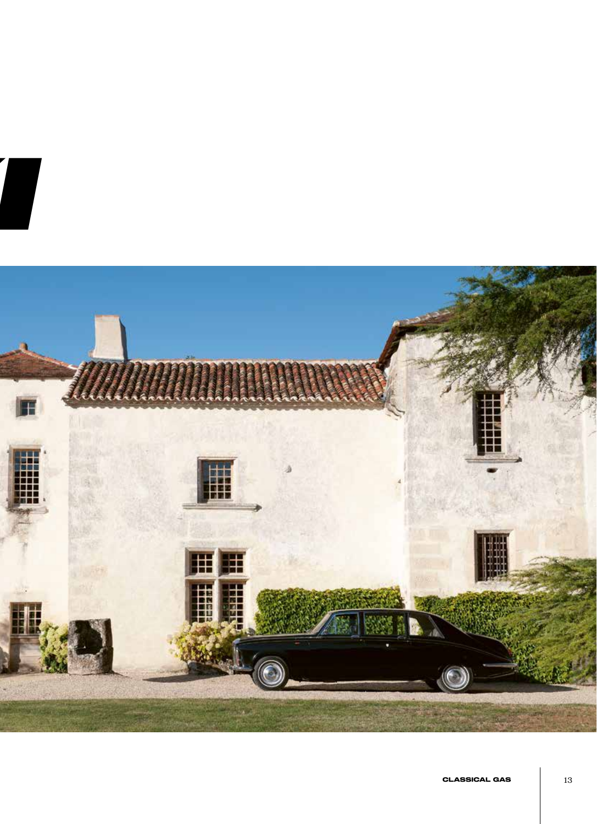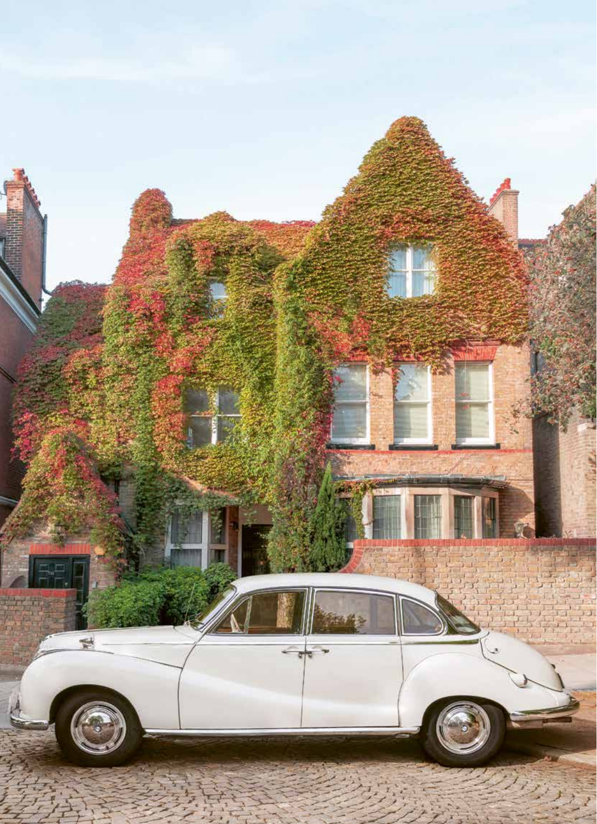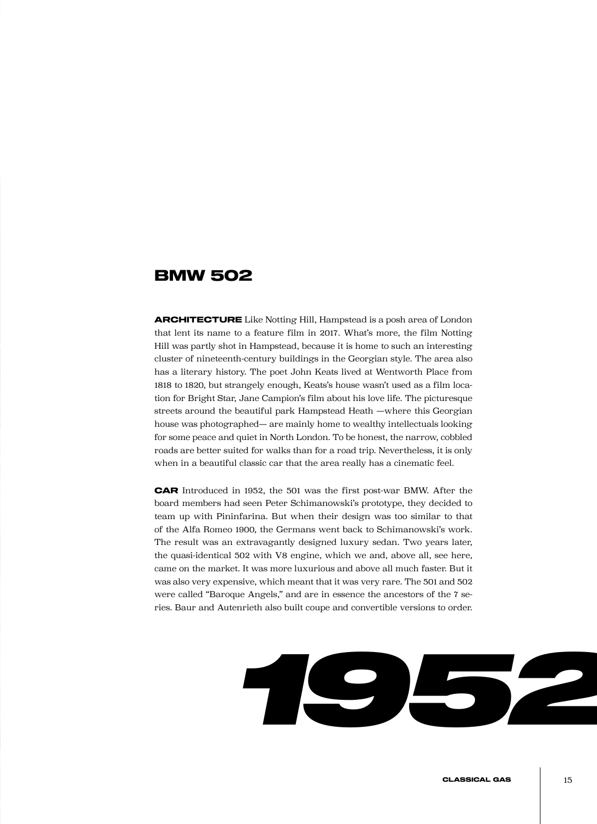#### BMW 502

ARCHITECTURE Like Notting Hill, Hampstead is a posh area of London that lent its name to a feature film in 2017. What's more, the film Notting Hill was partly shot in Hampstead, because it is home to such an interesting cluster of nineteenth-century buildings in the Georgian style. The area also has a literary history. The poet John Keats lived at Wentworth Place from 1818 to 1820, but strangely enough, Keats's house wasn't used as a film location for Bright Star, Jane Campion's film about his love life. The picturesque streets around the beautiful park Hampstead Heath —where this Georgian house was photographed— are mainly home to wealthy intellectuals looking for some peace and quiet in North London. To be honest, the narrow, cobbled roads are better suited for walks than for a road trip. Nevertheless, it is only when in a beautiful classic car that the area really has a cinematic feel.

CAR Introduced in 1952, the 501 was the first post-war BMW. After the board members had seen Peter Schimanowski's prototype, they decided to team up with Pininfarina. But when their design was too similar to that of the Alfa Romeo 1900, the Germans went back to Schimanowski's work. The result was an extravagantly designed luxury sedan. Two years later, the quasi-identical 502 with V8 engine, which we and, above all, see here, came on the market. It was more luxurious and above all much faster. But it was also very expensive, which meant that it was very rare. The 501 and 502 were called "Baroque Angels," and are in essence the ancestors of the 7 series. Baur and Autenrieth also built coupe and convertible versions to order.

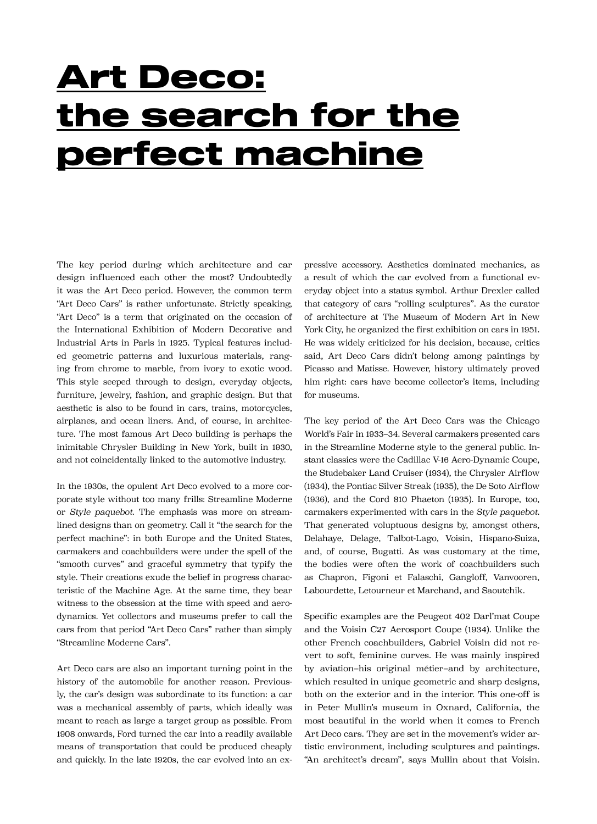### Art Deco: the search for the perfect machine

The key period during which architecture and car design influenced each other the most? Undoubtedly it was the Art Deco period. However, the common term "Art Deco Cars" is rather unfortunate. Strictly speaking, "Art Deco" is a term that originated on the occasion of the International Exhibition of Modern Decorative and Industrial Arts in Paris in 1925. Typical features included geometric patterns and luxurious materials, ranging from chrome to marble, from ivory to exotic wood. This style seeped through to design, everyday objects, furniture, jewelry, fashion, and graphic design. But that aesthetic is also to be found in cars, trains, motorcycles, airplanes, and ocean liners. And, of course, in architecture. The most famous Art Deco building is perhaps the inimitable Chrysler Building in New York, built in 1930, and not coincidentally linked to the automotive industry.

In the 1930s, the opulent Art Deco evolved to a more corporate style without too many frills: Streamline Moderne or *Style paquebot*. The emphasis was more on streamlined designs than on geometry. Call it "the search for the perfect machine": in both Europe and the United States, carmakers and coachbuilders were under the spell of the "smooth curves" and graceful symmetry that typify the style. Their creations exude the belief in progress characteristic of the Machine Age. At the same time, they bear witness to the obsession at the time with speed and aerodynamics. Yet collectors and museums prefer to call the cars from that period "Art Deco Cars" rather than simply "Streamline Moderne Cars".

Art Deco cars are also an important turning point in the history of the automobile for another reason. Previously, the car's design was subordinate to its function: a car was a mechanical assembly of parts, which ideally was meant to reach as large a target group as possible. From 1908 onwards, Ford turned the car into a readily available means of transportation that could be produced cheaply and quickly. In the late 1920s, the car evolved into an expressive accessory. Aesthetics dominated mechanics, as a result of which the car evolved from a functional everyday object into a status symbol. Arthur Drexler called that category of cars "rolling sculptures". As the curator of architecture at The Museum of Modern Art in New York City, he organized the first exhibition on cars in 1951. He was widely criticized for his decision, because, critics said, Art Deco Cars didn't belong among paintings by Picasso and Matisse. However, history ultimately proved him right: cars have become collector's items, including for museums.

The key period of the Art Deco Cars was the Chicago World's Fair in 1933–34. Several carmakers presented cars in the Streamline Moderne style to the general public. Instant classics were the Cadillac V-16 Aero-Dynamic Coupe, the Studebaker Land Cruiser (1934), the Chrysler Airflow (1934), the Pontiac Silver Streak (1935), the De Soto Airflow (1936), and the Cord 810 Phaeton (1935). In Europe, too, carmakers experimented with cars in the *Style paquebot*. That generated voluptuous designs by, amongst others, Delahaye, Delage, Talbot-Lago, Voisin, Hispano-Suiza, and, of course, Bugatti. As was customary at the time, the bodies were often the work of coachbuilders such as Chapron, Figoni et Falaschi, Gangloff, Vanvooren, Labourdette, Letourneur et Marchand, and Saoutchik.

Specific examples are the Peugeot 402 Darl'mat Coupe and the Voisin C27 Aerosport Coupe (1934). Unlike the other French coachbuilders, Gabriel Voisin did not revert to soft, feminine curves. He was mainly inspired by aviation–his original métier–and by architecture, which resulted in unique geometric and sharp designs, both on the exterior and in the interior. This one-off is in Peter Mullin's museum in Oxnard, California, the most beautiful in the world when it comes to French Art Deco cars. They are set in the movement's wider artistic environment, including sculptures and paintings. "An architect's dream", says Mullin about that Voisin.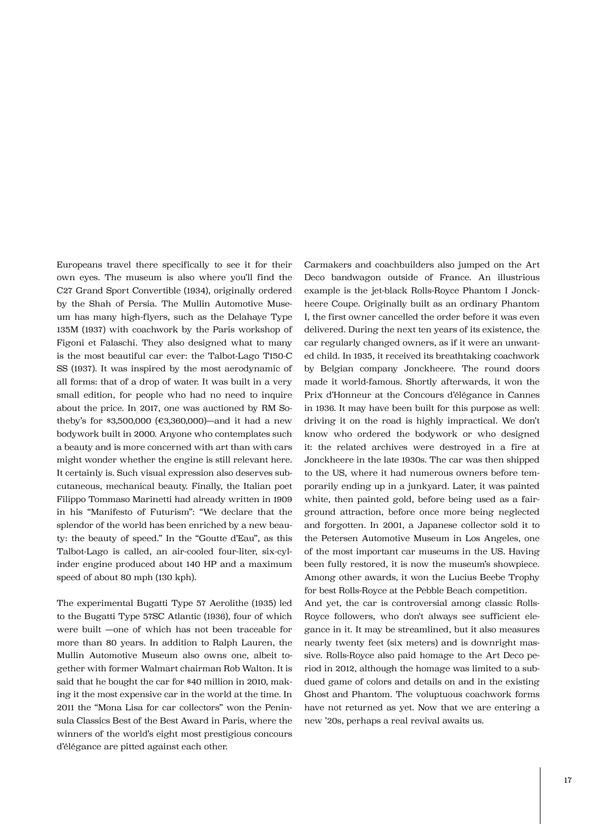Europeans travel there specifically to see it for their own eyes. The museum is also where you'll find the C27 Grand Sport Convertible (1934), originally ordered by the Shah of Persia. The Mullin Automotive Museum has many high-flyers, such as the Delahaye Type 135M (1937) with coachwork by the Paris workshop of Figoni et Falaschi. They also designed what to many is the most beautiful car ever: the Talbot-Lago T150-C SS (1937). It was inspired by the most aerodynamic of all forms: that of a drop of water. It was built in a very small edition, for people who had no need to inquire about the price. In 2017, one was auctioned by RM Sotheby's for \$3,500,000 (€3,360,000)—and it had a new bodywork built in 2000. Anyone who contemplates such a beauty and is more concerned with art than with cars might wonder whether the engine is still relevant here. It certainly is. Such visual expression also deserves subcutaneous, mechanical beauty. Finally, the Italian poet Filippo Tommaso Marinetti had already written in 1909 in his "Manifesto of Futurism": "We declare that the splendor of the world has been enriched by a new beauty: the beauty of speed." In the "Goutte d'Eau", as this Talbot-Lago is called, an air-cooled four-liter, six-cylinder engine produced about 140 HP and a maximum speed of about 80 mph (130 kph).

The experimental Bugatti Type 57 Aerolithe (1935) led to the Bugatti Type 57SC Atlantic (1936), four of which were built —one of which has not been traceable for more than 80 years. In addition to Ralph Lauren, the Mullin Automotive Museum also owns one, albeit together with former Walmart chairman Rob Walton. It is said that he bought the car for \$40 million in 2010, making it the most expensive car in the world at the time. In 2011 the "Mona Lisa for car collectors" won the Peninsula Classics Best of the Best Award in Paris, where the winners of the world's eight most prestigious concours d'élégance are pitted against each other.

Carmakers and coachbuilders also jumped on the Art Deco bandwagon outside of France. An illustrious example is the jet-black Rolls-Royce Phantom I Jonckheere Coupe. Originally built as an ordinary Phantom I, the first owner cancelled the order before it was even delivered. During the next ten years of its existence, the car regularly changed owners, as if it were an unwanted child. In 1935, it received its breathtaking coachwork by Belgian company Jonckheere. The round doors made it world-famous. Shortly afterwards, it won the Prix d'Honneur at the Concours d'élégance in Cannes in 1936. It may have been built for this purpose as well: driving it on the road is highly impractical. We don't know who ordered the bodywork or who designed it: the related archives were destroyed in a fire at Jonckheere in the late 1930s. The car was then shipped to the US, where it had numerous owners before temporarily ending up in a junkyard. Later, it was painted white, then painted gold, before being used as a fairground attraction, before once more being neglected and forgotten. In 2001, a Japanese collector sold it to the Petersen Automotive Museum in Los Angeles, one of the most important car museums in the US. Having been fully restored, it is now the museum's showpiece. Among other awards, it won the Lucius Beebe Trophy for best Rolls-Royce at the Pebble Beach competition.

And yet, the car is controversial among classic Rolls-Royce followers, who don't always see sufficient elegance in it. It may be streamlined, but it also measures nearly twenty feet (six meters) and is downright massive. Rolls-Royce also paid homage to the Art Deco period in 2012, although the homage was limited to a subdued game of colors and details on and in the existing Ghost and Phantom. The voluptuous coachwork forms have not returned as yet. Now that we are entering a new '20s, perhaps a real revival awaits us.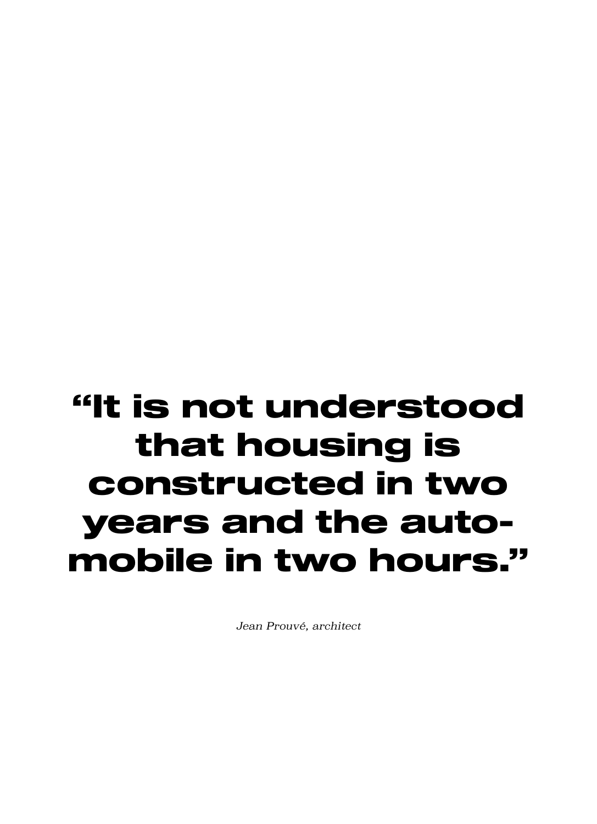## "It is not understood that housing is constructed in two years and the automobile in two hours."

*Jean Prouvé, architect*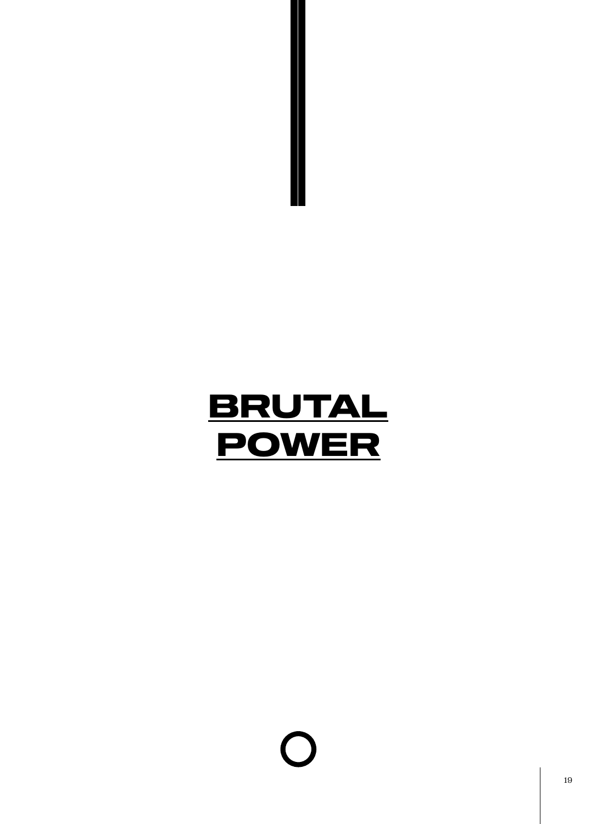

 $\frac{1}{2}$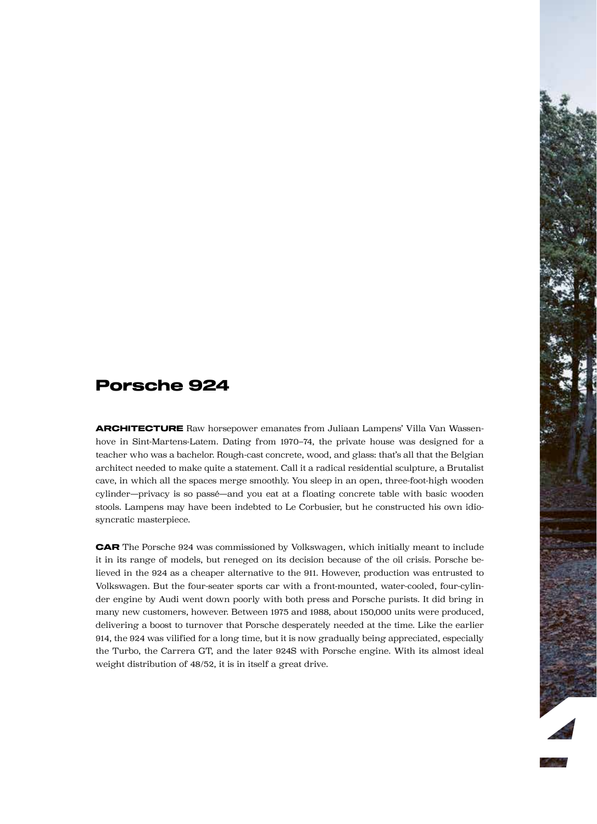#### Porsche 924

ARCHITECTURE Raw horsepower emanates from Juliaan Lampens' Villa Van Wassenhove in Sint-Martens-Latem. Dating from 1970–74, the private house was designed for a teacher who was a bachelor. Rough-cast concrete, wood, and glass: that's all that the Belgian architect needed to make quite a statement. Call it a radical residential sculpture, a Brutalist cave, in which all the spaces merge smoothly. You sleep in an open, three-foot-high wooden cylinder—privacy is so passé—and you eat at a floating concrete table with basic wooden stools. Lampens may have been indebted to Le Corbusier, but he constructed his own idiosyncratic masterpiece.

CAR The Porsche 924 was commissioned by Volkswagen, which initially meant to include it in its range of models, but reneged on its decision because of the oil crisis. Porsche believed in the 924 as a cheaper alternative to the 911. However, production was entrusted to Volkswagen. But the four-seater sports car with a front-mounted, water-cooled, four-cylinder engine by Audi went down poorly with both press and Porsche purists. It did bring in many new customers, however. Between 1975 and 1988, about 150,000 units were produced, delivering a boost to turnover that Porsche desperately needed at the time. Like the earlier 914, the 924 was vilified for a long time, but it is now gradually being appreciated, especially the Turbo, the Carrera GT, and the later 924S with Porsche engine. With its almost ideal weight distribution of 48/52, it is in itself a great drive.

*48/52*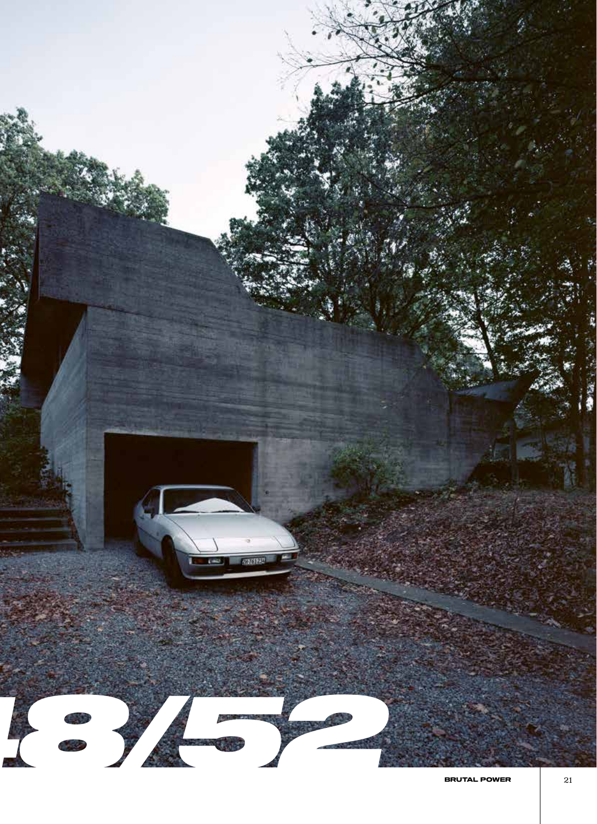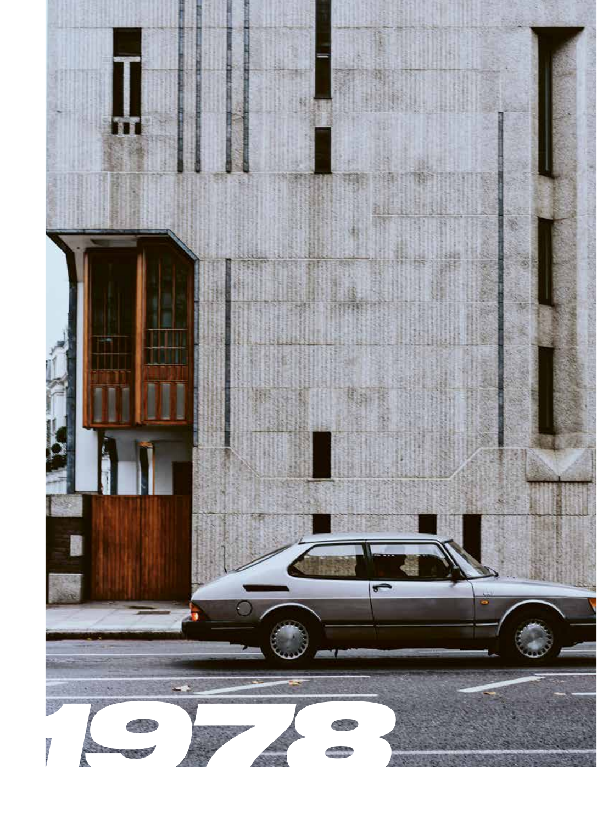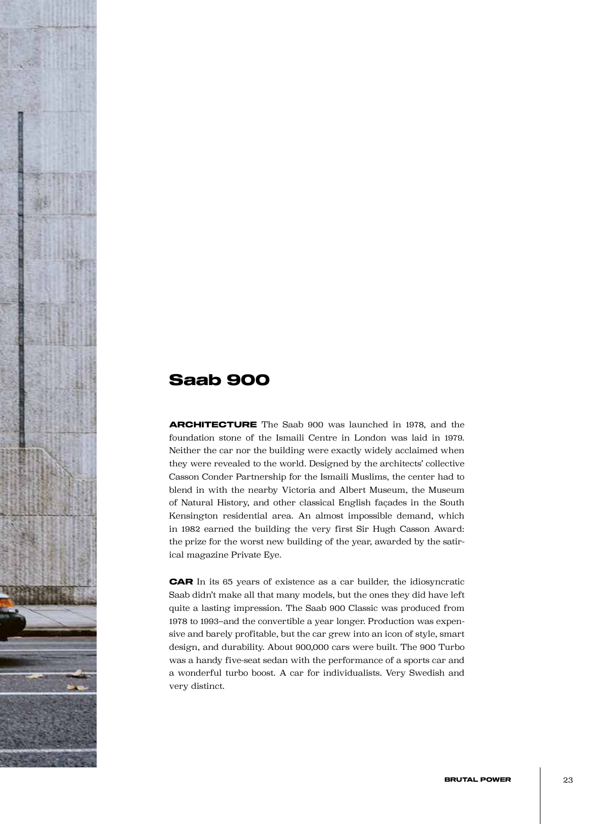#### Saab 900

ARCHITECTURE The Saab 900 was launched in 1978, and the foundation stone of the Ismaili Centre in London was laid in 1979. Neither the car nor the building were exactly widely acclaimed when they were revealed to the world. Designed by the architects' collective Casson Conder Partnership for the Ismaili Muslims, the center had to blend in with the nearby Victoria and Albert Museum, the Museum of Natural History, and other classical English façades in the South Kensington residential area. An almost impossible demand, which in 1982 earned the building the very first Sir Hugh Casson Award: the prize for the worst new building of the year, awarded by the satirical magazine Private Eye.

CAR In its 65 years of existence as a car builder, the idiosyncratic Saab didn't make all that many models, but the ones they did have left quite a lasting impression. The Saab 900 Classic was produced from 1978 to 1993–and the convertible a year longer. Production was expensive and barely profitable, but the car grew into an icon of style, smart design, and durability. About 900,000 cars were built. The 900 Turbo was a handy five-seat sedan with the performance of a sports car and a wonderful turbo boost. A car for individualists. Very Swedish and very distinct.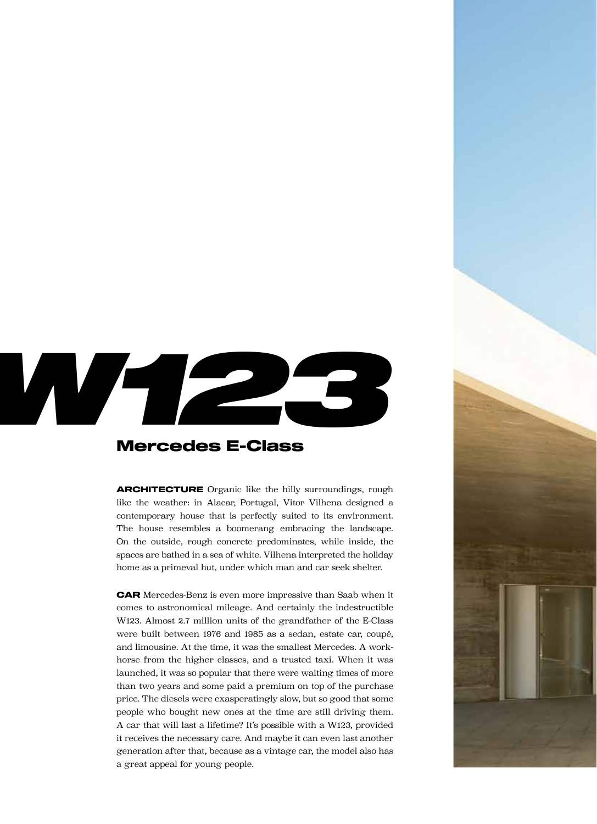

#### Mercedes E-Class

ARCHITECTURE Organic like the hilly surroundings, rough like the weather: in Alacar, Portugal, Vitor Vilhena designed a contemporary house that is perfectly suited to its environment. The house resembles a boomerang embracing the landscape. On the outside, rough concrete predominates, while inside, the spaces are bathed in a sea of white. Vilhena interpreted the holiday home as a primeval hut, under which man and car seek shelter.

CAR Mercedes-Benz is even more impressive than Saab when it comes to astronomical mileage. And certainly the indestructible W123. Almost 2.7 million units of the grandfather of the E-Class were built between 1976 and 1985 as a sedan, estate car, coupé, and limousine. At the time, it was the smallest Mercedes. A workhorse from the higher classes, and a trusted taxi. When it was launched, it was so popular that there were waiting times of more than two years and some paid a premium on top of the purchase price. The diesels were exasperatingly slow, but so good that some people who bought new ones at the time are still driving them. A car that will last a lifetime? It's possible with a W123, provided it receives the necessary care. And maybe it can even last another generation after that, because as a vintage car, the model also has a great appeal for young people.